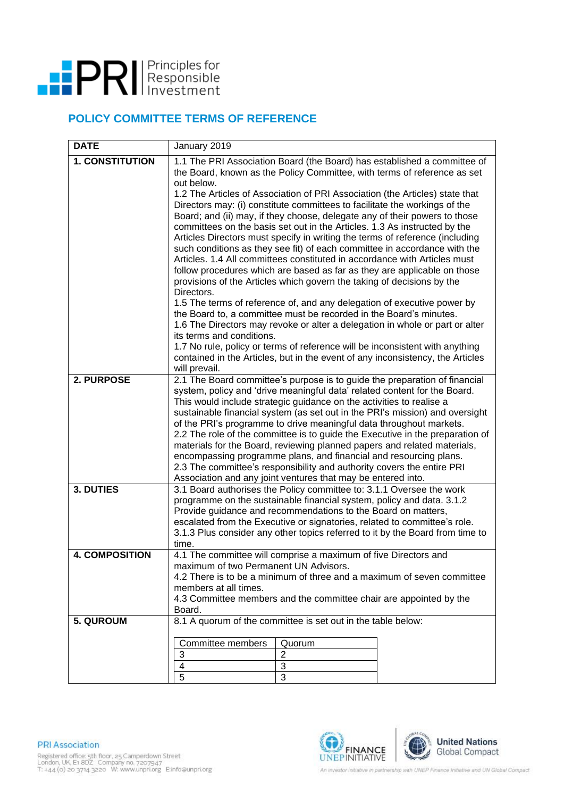

## **POLICY COMMITTEE TERMS OF REFERENCE**

| <b>DATE</b>            | January 2019                                                                                                                                                                                                                                                                                                                                                                                                                                                                                                                                                                                                                                                                                                                                                                                                                                                                                                                                                                                                                                                                                                                                                            |                       |  |  |  |
|------------------------|-------------------------------------------------------------------------------------------------------------------------------------------------------------------------------------------------------------------------------------------------------------------------------------------------------------------------------------------------------------------------------------------------------------------------------------------------------------------------------------------------------------------------------------------------------------------------------------------------------------------------------------------------------------------------------------------------------------------------------------------------------------------------------------------------------------------------------------------------------------------------------------------------------------------------------------------------------------------------------------------------------------------------------------------------------------------------------------------------------------------------------------------------------------------------|-----------------------|--|--|--|
| <b>1. CONSTITUTION</b> | 1.1 The PRI Association Board (the Board) has established a committee of<br>the Board, known as the Policy Committee, with terms of reference as set<br>out below.<br>1.2 The Articles of Association of PRI Association (the Articles) state that<br>Directors may: (i) constitute committees to facilitate the workings of the<br>Board; and (ii) may, if they choose, delegate any of their powers to those<br>committees on the basis set out in the Articles. 1.3 As instructed by the<br>Articles Directors must specify in writing the terms of reference (including<br>such conditions as they see fit) of each committee in accordance with the<br>Articles. 1.4 All committees constituted in accordance with Articles must<br>follow procedures which are based as far as they are applicable on those<br>provisions of the Articles which govern the taking of decisions by the<br>Directors.<br>1.5 The terms of reference of, and any delegation of executive power by<br>the Board to, a committee must be recorded in the Board's minutes.<br>1.6 The Directors may revoke or alter a delegation in whole or part or alter<br>its terms and conditions. |                       |  |  |  |
|                        | 1.7 No rule, policy or terms of reference will be inconsistent with anything<br>contained in the Articles, but in the event of any inconsistency, the Articles<br>will prevail.                                                                                                                                                                                                                                                                                                                                                                                                                                                                                                                                                                                                                                                                                                                                                                                                                                                                                                                                                                                         |                       |  |  |  |
| 2. PURPOSE             | 2.1 The Board committee's purpose is to guide the preparation of financial<br>system, policy and 'drive meaningful data' related content for the Board.<br>This would include strategic guidance on the activities to realise a<br>sustainable financial system (as set out in the PRI's mission) and oversight<br>of the PRI's programme to drive meaningful data throughout markets.<br>2.2 The role of the committee is to guide the Executive in the preparation of<br>materials for the Board, reviewing planned papers and related materials,<br>encompassing programme plans, and financial and resourcing plans.<br>2.3 The committee's responsibility and authority covers the entire PRI<br>Association and any joint ventures that may be entered into.                                                                                                                                                                                                                                                                                                                                                                                                      |                       |  |  |  |
| 3. DUTIES              | 3.1 Board authorises the Policy committee to: 3.1.1 Oversee the work<br>programme on the sustainable financial system, policy and data. 3.1.2<br>Provide guidance and recommendations to the Board on matters,<br>escalated from the Executive or signatories, related to committee's role.<br>3.1.3 Plus consider any other topics referred to it by the Board from time to<br>time.                                                                                                                                                                                                                                                                                                                                                                                                                                                                                                                                                                                                                                                                                                                                                                                   |                       |  |  |  |
| <b>4. COMPOSITION</b>  | 4.1 The committee will comprise a maximum of five Directors and<br>maximum of two Permanent UN Advisors.<br>4.2 There is to be a minimum of three and a maximum of seven committee<br>members at all times.<br>4.3 Committee members and the committee chair are appointed by the<br>Board.                                                                                                                                                                                                                                                                                                                                                                                                                                                                                                                                                                                                                                                                                                                                                                                                                                                                             |                       |  |  |  |
| 5. QUROUM              | 8.1 A quorum of the committee is set out in the table below:<br>Committee members<br>3<br>4<br>$\overline{5}$                                                                                                                                                                                                                                                                                                                                                                                                                                                                                                                                                                                                                                                                                                                                                                                                                                                                                                                                                                                                                                                           | Quorum<br>2<br>3<br>3 |  |  |  |



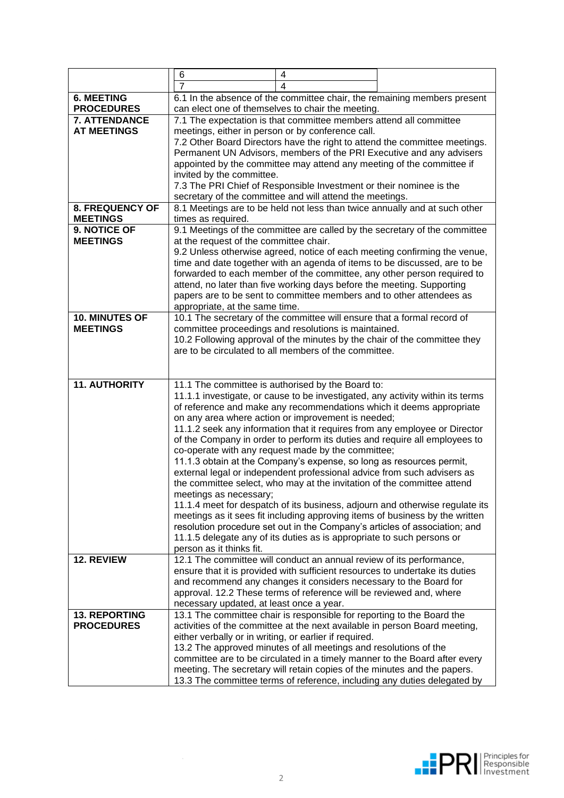|                      | 6<br>$\overline{7}$                                                                                                                                  | 4<br>4                                                                                                                                        |                                                                                                                                                      |  |  |  |
|----------------------|------------------------------------------------------------------------------------------------------------------------------------------------------|-----------------------------------------------------------------------------------------------------------------------------------------------|------------------------------------------------------------------------------------------------------------------------------------------------------|--|--|--|
| <b>6. MEETING</b>    | 6.1 In the absence of the committee chair, the remaining members present                                                                             |                                                                                                                                               |                                                                                                                                                      |  |  |  |
| <b>PROCEDURES</b>    | can elect one of themselves to chair the meeting.                                                                                                    |                                                                                                                                               |                                                                                                                                                      |  |  |  |
| <b>7. ATTENDANCE</b> | 7.1 The expectation is that committee members attend all committee                                                                                   |                                                                                                                                               |                                                                                                                                                      |  |  |  |
| <b>AT MEETINGS</b>   | meetings, either in person or by conference call.                                                                                                    |                                                                                                                                               |                                                                                                                                                      |  |  |  |
|                      | 7.2 Other Board Directors have the right to attend the committee meetings.                                                                           |                                                                                                                                               |                                                                                                                                                      |  |  |  |
|                      |                                                                                                                                                      | Permanent UN Advisors, members of the PRI Executive and any advisers<br>appointed by the committee may attend any meeting of the committee if |                                                                                                                                                      |  |  |  |
|                      | invited by the committee.                                                                                                                            |                                                                                                                                               |                                                                                                                                                      |  |  |  |
|                      |                                                                                                                                                      |                                                                                                                                               |                                                                                                                                                      |  |  |  |
|                      | 7.3 The PRI Chief of Responsible Investment or their nominee is the<br>secretary of the committee and will attend the meetings.                      |                                                                                                                                               |                                                                                                                                                      |  |  |  |
| 8. FREQUENCY OF      | 8.1 Meetings are to be held not less than twice annually and at such other                                                                           |                                                                                                                                               |                                                                                                                                                      |  |  |  |
| <b>MEETINGS</b>      | times as required.                                                                                                                                   |                                                                                                                                               |                                                                                                                                                      |  |  |  |
| 9. NOTICE OF         | 9.1 Meetings of the committee are called by the secretary of the committee                                                                           |                                                                                                                                               |                                                                                                                                                      |  |  |  |
| <b>MEETINGS</b>      | at the request of the committee chair.                                                                                                               |                                                                                                                                               |                                                                                                                                                      |  |  |  |
|                      |                                                                                                                                                      |                                                                                                                                               | 9.2 Unless otherwise agreed, notice of each meeting confirming the venue,                                                                            |  |  |  |
|                      |                                                                                                                                                      |                                                                                                                                               | time and date together with an agenda of items to be discussed, are to be<br>forwarded to each member of the committee, any other person required to |  |  |  |
|                      |                                                                                                                                                      | attend, no later than five working days before the meeting. Supporting                                                                        |                                                                                                                                                      |  |  |  |
|                      |                                                                                                                                                      | papers are to be sent to committee members and to other attendees as                                                                          |                                                                                                                                                      |  |  |  |
|                      | appropriate, at the same time.                                                                                                                       |                                                                                                                                               |                                                                                                                                                      |  |  |  |
| 10. MINUTES OF       | 10.1 The secretary of the committee will ensure that a formal record of                                                                              |                                                                                                                                               |                                                                                                                                                      |  |  |  |
| <b>MEETINGS</b>      | committee proceedings and resolutions is maintained.                                                                                                 |                                                                                                                                               |                                                                                                                                                      |  |  |  |
|                      | 10.2 Following approval of the minutes by the chair of the committee they<br>are to be circulated to all members of the committee.                   |                                                                                                                                               |                                                                                                                                                      |  |  |  |
|                      |                                                                                                                                                      |                                                                                                                                               |                                                                                                                                                      |  |  |  |
|                      |                                                                                                                                                      |                                                                                                                                               |                                                                                                                                                      |  |  |  |
| <b>11. AUTHORITY</b> |                                                                                                                                                      | 11.1 The committee is authorised by the Board to:                                                                                             |                                                                                                                                                      |  |  |  |
|                      | 11.1.1 investigate, or cause to be investigated, any activity within its terms                                                                       |                                                                                                                                               |                                                                                                                                                      |  |  |  |
|                      | of reference and make any recommendations which it deems appropriate                                                                                 |                                                                                                                                               |                                                                                                                                                      |  |  |  |
|                      | on any area where action or improvement is needed;                                                                                                   |                                                                                                                                               |                                                                                                                                                      |  |  |  |
|                      |                                                                                                                                                      |                                                                                                                                               | 11.1.2 seek any information that it requires from any employee or Director                                                                           |  |  |  |
|                      | of the Company in order to perform its duties and require all employees to<br>co-operate with any request made by the committee;                     |                                                                                                                                               |                                                                                                                                                      |  |  |  |
|                      | 11.1.3 obtain at the Company's expense, so long as resources permit,                                                                                 |                                                                                                                                               |                                                                                                                                                      |  |  |  |
|                      | external legal or independent professional advice from such advisers as                                                                              |                                                                                                                                               |                                                                                                                                                      |  |  |  |
|                      | the committee select, who may at the invitation of the committee attend                                                                              |                                                                                                                                               |                                                                                                                                                      |  |  |  |
|                      | meetings as necessary;                                                                                                                               |                                                                                                                                               |                                                                                                                                                      |  |  |  |
|                      | 11.1.4 meet for despatch of its business, adjourn and otherwise regulate its                                                                         |                                                                                                                                               |                                                                                                                                                      |  |  |  |
|                      | meetings as it sees fit including approving items of business by the written                                                                         |                                                                                                                                               |                                                                                                                                                      |  |  |  |
|                      | resolution procedure set out in the Company's articles of association; and<br>11.1.5 delegate any of its duties as is appropriate to such persons or |                                                                                                                                               |                                                                                                                                                      |  |  |  |
|                      | person as it thinks fit.                                                                                                                             |                                                                                                                                               |                                                                                                                                                      |  |  |  |
| 12. REVIEW           |                                                                                                                                                      | 12.1 The committee will conduct an annual review of its performance,                                                                          |                                                                                                                                                      |  |  |  |
|                      | ensure that it is provided with sufficient resources to undertake its duties                                                                         |                                                                                                                                               |                                                                                                                                                      |  |  |  |
|                      | and recommend any changes it considers necessary to the Board for                                                                                    |                                                                                                                                               |                                                                                                                                                      |  |  |  |
|                      | approval. 12.2 These terms of reference will be reviewed and, where                                                                                  |                                                                                                                                               |                                                                                                                                                      |  |  |  |
| <b>13. REPORTING</b> | necessary updated, at least once a year.<br>13.1 The committee chair is responsible for reporting to the Board the                                   |                                                                                                                                               |                                                                                                                                                      |  |  |  |
| <b>PROCEDURES</b>    |                                                                                                                                                      |                                                                                                                                               | activities of the committee at the next available in person Board meeting,                                                                           |  |  |  |
|                      | either verbally or in writing, or earlier if required.                                                                                               |                                                                                                                                               |                                                                                                                                                      |  |  |  |
|                      | 13.2 The approved minutes of all meetings and resolutions of the                                                                                     |                                                                                                                                               |                                                                                                                                                      |  |  |  |
|                      | committee are to be circulated in a timely manner to the Board after every                                                                           |                                                                                                                                               |                                                                                                                                                      |  |  |  |
|                      | meeting. The secretary will retain copies of the minutes and the papers.                                                                             |                                                                                                                                               |                                                                                                                                                      |  |  |  |
|                      | 13.3 The committee terms of reference, including any duties delegated by                                                                             |                                                                                                                                               |                                                                                                                                                      |  |  |  |